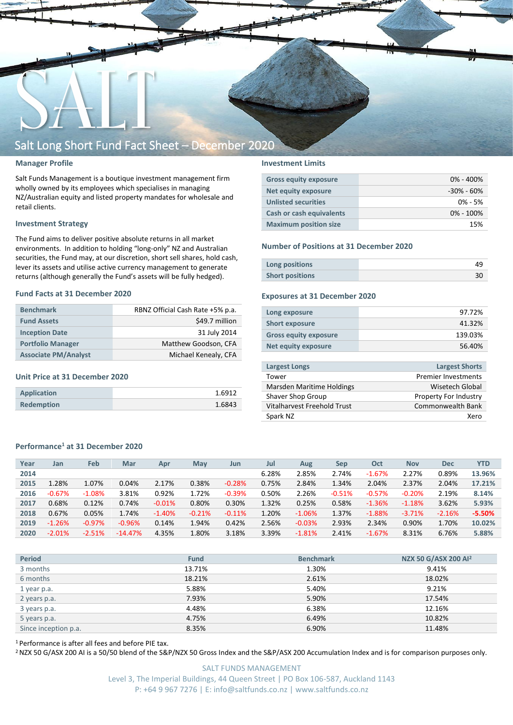

### **Manager Profile**

Salt Funds Management is a boutique investment management firm wholly owned by its employees which specialises in managing NZ/Australian equity and listed property mandates for wholesale and retail clients.

### **Investment Strategy**

The Fund aims to deliver positive absolute returns in all market environments. In addition to holding "long-only" NZ and Australian securities, the Fund may, at our discretion, short sell shares, hold cash, lever its assets and utilise active currency management to generate returns (although generally the Fund's assets will be fully hedged).

#### **Fund Facts at 31 December 2020**

| <b>Benchmark</b>            | RBNZ Official Cash Rate +5% p.a. |
|-----------------------------|----------------------------------|
| <b>Fund Assets</b>          | \$49.7 million                   |
| <b>Inception Date</b>       | 31 July 2014                     |
| <b>Portfolio Manager</b>    | Matthew Goodson, CFA             |
| <b>Associate PM/Analyst</b> | Michael Kenealy, CFA             |

### **Unit Price at 31 December 2020**

| Application       | 1.6912 |
|-------------------|--------|
| <b>Redemption</b> | 1.6843 |

### **Investment Limits**

| <b>Gross equity exposure</b> | $0\% - 400\%$  |
|------------------------------|----------------|
| Net equity exposure          | $-30\% - 60\%$ |
| <b>Unlisted securities</b>   | $0\% - 5\%$    |
| Cash or cash equivalents     | $0\% - 100\%$  |
| <b>Maximum position size</b> | 15%            |

#### **Number of Positions at 31 December 2020**

| Long positions         |  |
|------------------------|--|
| <b>Short positions</b> |  |

### **Exposures at 31 December 2020**

| Long exposure                | 97.72%  |
|------------------------------|---------|
| <b>Short exposure</b>        | 41.32%  |
| <b>Gross equity exposure</b> | 139.03% |
| Net equity exposure          | 56.40%  |
|                              |         |

| <b>Largest Longs</b>        | <b>Largest Shorts</b>      |
|-----------------------------|----------------------------|
| Tower                       | <b>Premier Investments</b> |
| Marsden Maritime Holdings   | Wisetech Global            |
| Shaver Shop Group           | Property For Industry      |
| Vitalharvest Freehold Trust | Commonwealth Bank          |
| Spark NZ                    | Xero                       |
|                             |                            |

### **Performance<sup>1</sup> at 31 December 2020**

| Year | Jan      | <b>Feb</b> | Mar       | Apr      | May      | Jun      | Jul   | Aug      | Sep      | Oct      | <b>Nov</b> | <b>Dec</b> | <b>YTD</b> |
|------|----------|------------|-----------|----------|----------|----------|-------|----------|----------|----------|------------|------------|------------|
| 2014 |          |            |           |          |          |          | 6.28% | 2.85%    | 2.74%    | $-1.67%$ | 2.27%      | 0.89%      | 13.96%     |
| 2015 | 1.28%    | 1.07%      | 0.04%     | 2.17%    | 0.38%    | $-0.28%$ | 0.75% | 2.84%    | 1.34%    | 2.04%    | 2.37%      | 2.04%      | 17.21%     |
| 2016 | $-0.67%$ | $-1.08%$   | 3.81%     | 0.92%    | 1.72%    | $-0.39%$ | 0.50% | 2.26%    | $-0.51%$ | $-0.57%$ | $-0.20%$   | 2.19%      | 8.14%      |
| 2017 | 0.68%    | 0.12%      | 0.74%     | $-0.01%$ | 0.80%    | 0.30%    | 1.32% | 0.25%    | 0.58%    | $-1.36%$ | $-1.18%$   | 3.62%      | 5.93%      |
| 2018 | 0.67%    | 0.05%      | 1.74%     | $-1.40%$ | $-0.21%$ | $-0.11%$ | 1.20% | $-1.06%$ | 1.37%    | $-1.88%$ | $-3.71%$   | $-2.16%$   | $-5.50%$   |
| 2019 | $-1.26%$ | $-0.97%$   | $-0.96%$  | 0.14%    | 1.94%    | 0.42%    | 2.56% | $-0.03%$ | 2.93%    | 2.34%    | 0.90%      | 1.70%      | 10.02%     |
| 2020 | $-2.01%$ | $-2.51%$   | $-14.47%$ | 4.35%    | 1.80%    | 3.18%    | 3.39% | $-1.81%$ | 2.41%    | $-1.67%$ | 8.31%      | 6.76%      | 5.88%      |
|      |          |            |           |          |          |          |       |          |          |          |            |            |            |

| <b>Period</b>        | <b>Fund</b> | <b>Benchmark</b> | NZX 50 G/ASX 200 Al <sup>2</sup> |
|----------------------|-------------|------------------|----------------------------------|
| 3 months             | 13.71%      | 1.30%            | 9.41%                            |
| 6 months             | 18.21%      | 2.61%            | 18.02%                           |
| 1 year p.a.          | 5.88%       | 5.40%            | 9.21%                            |
| 2 years p.a.         | 7.93%       | 5.90%            | 17.54%                           |
| 3 years p.a.         | 4.48%       | 6.38%            | 12.16%                           |
| 5 years p.a.         | 4.75%       | 6.49%            | 10.82%                           |
| Since inception p.a. | 8.35%       | 6.90%            | 11.48%                           |

<sup>1</sup> Performance is after all fees and before PIE tax.

<sup>2</sup> NZX 50 G/ASX 200 AI is a 50/50 blend of the S&P/NZX 50 Gross Index and the S&P/ASX 200 Accumulation Index and is for comparison purposes only.

SALT FUNDS MANAGEMENT Level 3, The Imperial Buildings, 44 Queen Street | PO Box 106-587, Auckland 1143 P: +64 9 967 7276 | E: info@saltfunds.co.nz | www.saltfunds.co.nz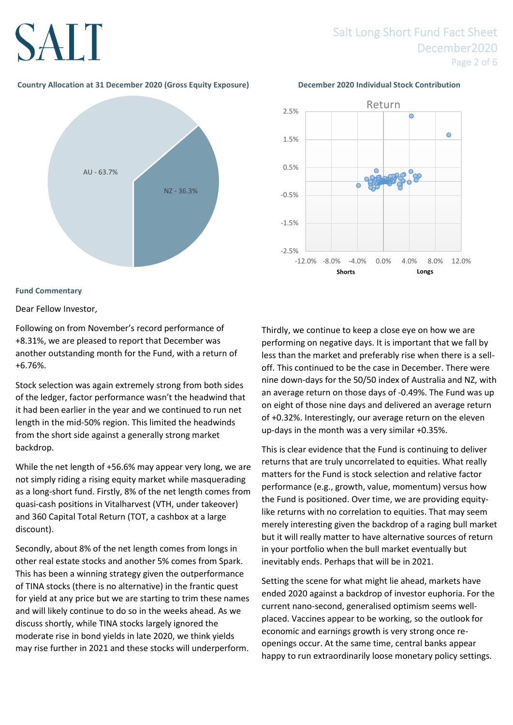# Salt Long Short Fund Fact Sheet December2020 Page 2 of 6

### **Country Allocation at 31 December 2020 (Gross Equity Exposure) December 2020 Individual Stock Contribution**



### **Fund Commentary**

Dear Fellow Investor,

Following on from November's record performance of +8.31%, we are pleased to report that December was another outstanding month for the Fund, with a return of +6.76%.

Stock selection was again extremely strong from both sides of the ledger, factor performance wasn't the headwind that it had been earlier in the year and we continued to run net length in the mid-50% region. This limited the headwinds from the short side against a generally strong market backdrop.

While the net length of +56.6% may appear very long, we are not simply riding a rising equity market while masquerading as a long-short fund. Firstly, 8% of the net length comes from quasi-cash positions in Vitalharvest (VTH, under takeover) and 360 Capital Total Return (TOT, a cashbox at a large discount).

Secondly, about 8% of the net length comes from longs in other real estate stocks and another 5% comes from Spark. This has been a winning strategy given the outperformance of TINA stocks (there is no alternative) in the frantic quest for yield at any price but we are starting to trim these names and will likely continue to do so in the weeks ahead. As we discuss shortly, while TINA stocks largely ignored the moderate rise in bond yields in late 2020, we think yields may rise further in 2021 and these stocks will underperform.



Thirdly, we continue to keep a close eye on how we are performing on negative days. It is important that we fall by less than the market and preferably rise when there is a selloff. This continued to be the case in December. There were nine down-days for the 50/50 index of Australia and NZ, with an average return on those days of -0.49%. The Fund was up on eight of those nine days and delivered an average return of +0.32%. Interestingly, our average return on the eleven up-days in the month was a very similar +0.35%.

This is clear evidence that the Fund is continuing to deliver returns that are truly uncorrelated to equities. What really matters for the Fund is stock selection and relative factor performance (e.g., growth, value, momentum) versus how the Fund is positioned. Over time, we are providing equitylike returns with no correlation to equities. That may seem merely interesting given the backdrop of a raging bull market but it will really matter to have alternative sources of return in your portfolio when the bull market eventually but inevitably ends. Perhaps that will be in 2021.

Setting the scene for what might lie ahead, markets have ended 2020 against a backdrop of investor euphoria. For the current nano-second, generalised optimism seems wellplaced. Vaccines appear to be working, so the outlook for economic and earnings growth is very strong once reopenings occur. At the same time, central banks appear happy to run extraordinarily loose monetary policy settings.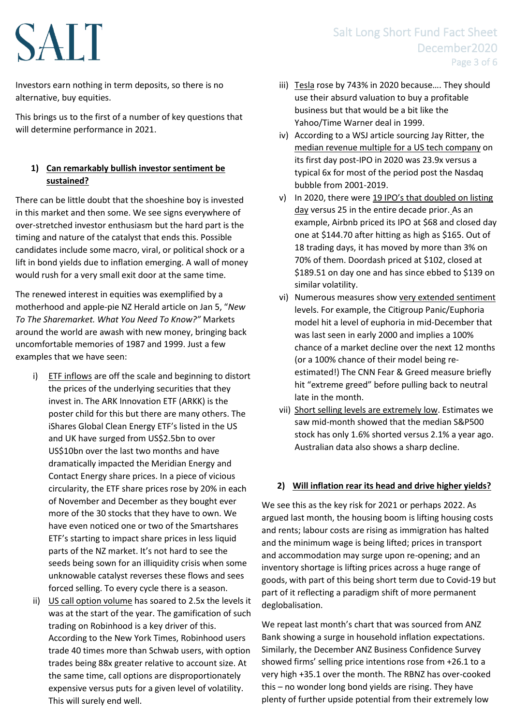Investors earn nothing in term deposits, so there is no alternative, buy equities.

This brings us to the first of a number of key questions that will determine performance in 2021.

### **1) Can remarkably bullish investor sentiment be sustained?**

There can be little doubt that the shoeshine boy is invested in this market and then some. We see signs everywhere of over-stretched investor enthusiasm but the hard part is the timing and nature of the catalyst that ends this. Possible candidates include some macro, viral, or political shock or a lift in bond yields due to inflation emerging. A wall of money would rush for a very small exit door at the same time.

The renewed interest in equities was exemplified by a motherhood and apple-pie NZ Herald article on Jan 5, "*New To The Sharemarket. What You Need To Know?"* Markets around the world are awash with new money, bringing back uncomfortable memories of 1987 and 1999. Just a few examples that we have seen:

- i) ETF inflows are off the scale and beginning to distort the prices of the underlying securities that they invest in. The ARK Innovation ETF (ARKK) is the poster child for this but there are many others. The iShares Global Clean Energy ETF's listed in the US and UK have surged from US\$2.5bn to over US\$10bn over the last two months and have dramatically impacted the Meridian Energy and Contact Energy share prices. In a piece of vicious circularity, the ETF share prices rose by 20% in each of November and December as they bought ever more of the 30 stocks that they have to own. We have even noticed one or two of the Smartshares ETF's starting to impact share prices in less liquid parts of the NZ market. It's not hard to see the seeds being sown for an illiquidity crisis when some unknowable catalyst reverses these flows and sees forced selling. To every cycle there is a season.
- ii) US call option volume has soared to 2.5x the levels it was at the start of the year. The gamification of such trading on Robinhood is a key driver of this. According to the New York Times, Robinhood users trade 40 times more than Schwab users, with option trades being 88x greater relative to account size. At the same time, call options are disproportionately expensive versus puts for a given level of volatility. This will surely end well.

# Salt Long Short Fund Fact Sheet December2020 Page 3 of 6

- iii) Tesla rose by 743% in 2020 because…. They should use their absurd valuation to buy a profitable business but that would be a bit like the Yahoo/Time Warner deal in 1999.
- iv) According to a WSJ article sourcing Jay Ritter, the median revenue multiple for a US tech company on its first day post-IPO in 2020 was 23.9x versus a typical 6x for most of the period post the Nasdaq bubble from 2001-2019.
- v) In 2020, there were 19 IPO's that doubled on listing day versus 25 in the entire decade prior. As an example, Airbnb priced its IPO at \$68 and closed day one at \$144.70 after hitting as high as \$165. Out of 18 trading days, it has moved by more than 3% on 70% of them. Doordash priced at \$102, closed at \$189.51 on day one and has since ebbed to \$139 on similar volatility.
- vi) Numerous measures show very extended sentiment levels. For example, the Citigroup Panic/Euphoria model hit a level of euphoria in mid-December that was last seen in early 2000 and implies a 100% chance of a market decline over the next 12 months (or a 100% chance of their model being reestimated!) The CNN Fear & Greed measure briefly hit "extreme greed" before pulling back to neutral late in the month.
- vii) Short selling levels are extremely low. Estimates we saw mid-month showed that the median S&P500 stock has only 1.6% shorted versus 2.1% a year ago. Australian data also shows a sharp decline.

### **2) Will inflation rear its head and drive higher yields?**

We see this as the key risk for 2021 or perhaps 2022. As argued last month, the housing boom is lifting housing costs and rents; labour costs are rising as immigration has halted and the minimum wage is being lifted; prices in transport and accommodation may surge upon re-opening; and an inventory shortage is lifting prices across a huge range of goods, with part of this being short term due to Covid-19 but part of it reflecting a paradigm shift of more permanent deglobalisation.

We repeat last month's chart that was sourced from ANZ Bank showing a surge in household inflation expectations. Similarly, the December ANZ Business Confidence Survey showed firms' selling price intentions rose from +26.1 to a very high +35.1 over the month. The RBNZ has over-cooked this – no wonder long bond yields are rising. They have plenty of further upside potential from their extremely low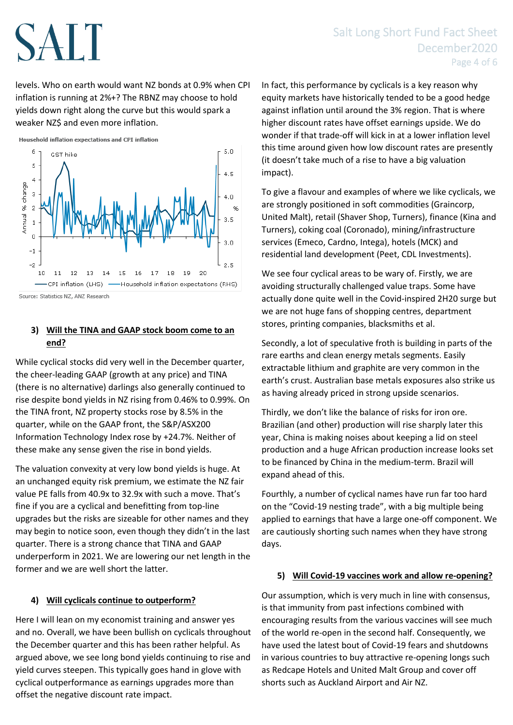levels. Who on earth would want NZ bonds at 0.9% when CPI inflation is running at 2%+? The RBNZ may choose to hold yields down right along the curve but this would spark a weaker NZ\$ and even more inflation.



### **3) Will the TINA and GAAP stock boom come to an end?**

While cyclical stocks did very well in the December quarter, the cheer-leading GAAP (growth at any price) and TINA (there is no alternative) darlings also generally continued to rise despite bond yields in NZ rising from 0.46% to 0.99%. On the TINA front, NZ property stocks rose by 8.5% in the quarter, while on the GAAP front, the S&P/ASX200 Information Technology Index rose by +24.7%. Neither of these make any sense given the rise in bond yields.

The valuation convexity at very low bond yields is huge. At an unchanged equity risk premium, we estimate the NZ fair value PE falls from 40.9x to 32.9x with such a move. That's fine if you are a cyclical and benefitting from top-line upgrades but the risks are sizeable for other names and they may begin to notice soon, even though they didn't in the last quarter. There is a strong chance that TINA and GAAP underperform in 2021. We are lowering our net length in the former and we are well short the latter.

## **4) Will cyclicals continue to outperform?**

Here I will lean on my economist training and answer yes and no. Overall, we have been bullish on cyclicals throughout the December quarter and this has been rather helpful. As argued above, we see long bond yields continuing to rise and yield curves steepen. This typically goes hand in glove with cyclical outperformance as earnings upgrades more than offset the negative discount rate impact.

In fact, this performance by cyclicals is a key reason why equity markets have historically tended to be a good hedge against inflation until around the 3% region. That is where higher discount rates have offset earnings upside. We do wonder if that trade-off will kick in at a lower inflation level this time around given how low discount rates are presently (it doesn't take much of a rise to have a big valuation impact).

To give a flavour and examples of where we like cyclicals, we are strongly positioned in soft commodities (Graincorp, United Malt), retail (Shaver Shop, Turners), finance (Kina and Turners), coking coal (Coronado), mining/infrastructure services (Emeco, Cardno, Intega), hotels (MCK) and residential land development (Peet, CDL Investments).

We see four cyclical areas to be wary of. Firstly, we are avoiding structurally challenged value traps. Some have actually done quite well in the Covid-inspired 2H20 surge but we are not huge fans of shopping centres, department stores, printing companies, blacksmiths et al.

Secondly, a lot of speculative froth is building in parts of the rare earths and clean energy metals segments. Easily extractable lithium and graphite are very common in the earth's crust. Australian base metals exposures also strike us as having already priced in strong upside scenarios.

Thirdly, we don't like the balance of risks for iron ore. Brazilian (and other) production will rise sharply later this year, China is making noises about keeping a lid on steel production and a huge African production increase looks set to be financed by China in the medium-term. Brazil will expand ahead of this.

Fourthly, a number of cyclical names have run far too hard on the "Covid-19 nesting trade", with a big multiple being applied to earnings that have a large one-off component. We are cautiously shorting such names when they have strong days.

### **5) Will Covid-19 vaccines work and allow re-opening?**

Our assumption, which is very much in line with consensus, is that immunity from past infections combined with encouraging results from the various vaccines will see much of the world re-open in the second half. Consequently, we have used the latest bout of Covid-19 fears and shutdowns in various countries to buy attractive re-opening longs such as Redcape Hotels and United Malt Group and cover off shorts such as Auckland Airport and Air NZ.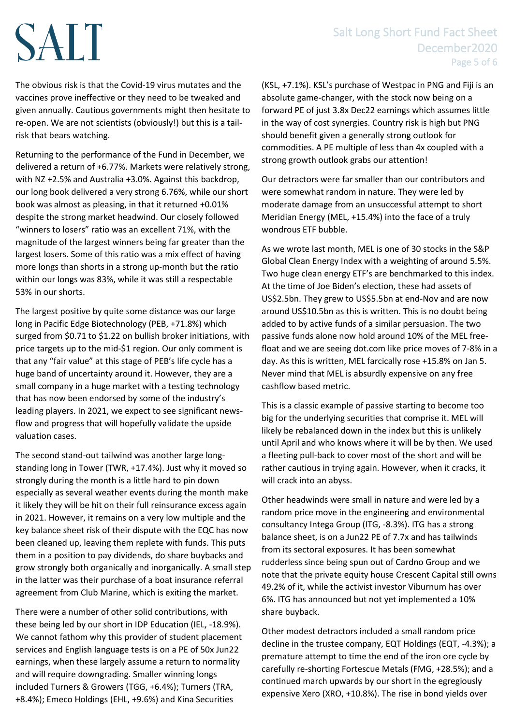# Salt Long Short Fund Fact Sheet December2020 Page 5 of 6

The obvious risk is that the Covid-19 virus mutates and the vaccines prove ineffective or they need to be tweaked and given annually. Cautious governments might then hesitate to re-open. We are not scientists (obviously!) but this is a tailrisk that bears watching.

Returning to the performance of the Fund in December, we delivered a return of +6.77%. Markets were relatively strong, with NZ +2.5% and Australia +3.0%. Against this backdrop, our long book delivered a very strong 6.76%, while our short book was almost as pleasing, in that it returned +0.01% despite the strong market headwind. Our closely followed "winners to losers" ratio was an excellent 71%, with the magnitude of the largest winners being far greater than the largest losers. Some of this ratio was a mix effect of having more longs than shorts in a strong up-month but the ratio within our longs was 83%, while it was still a respectable 53% in our shorts.

The largest positive by quite some distance was our large long in Pacific Edge Biotechnology (PEB, +71.8%) which surged from \$0.71 to \$1.22 on bullish broker initiations, with price targets up to the mid-\$1 region. Our only comment is that any "fair value" at this stage of PEB's life cycle has a huge band of uncertainty around it. However, they are a small company in a huge market with a testing technology that has now been endorsed by some of the industry's leading players. In 2021, we expect to see significant newsflow and progress that will hopefully validate the upside valuation cases.

The second stand-out tailwind was another large longstanding long in Tower (TWR, +17.4%). Just why it moved so strongly during the month is a little hard to pin down especially as several weather events during the month make it likely they will be hit on their full reinsurance excess again in 2021. However, it remains on a very low multiple and the key balance sheet risk of their dispute with the EQC has now been cleaned up, leaving them replete with funds. This puts them in a position to pay dividends, do share buybacks and grow strongly both organically and inorganically. A small step in the latter was their purchase of a boat insurance referral agreement from Club Marine, which is exiting the market.

There were a number of other solid contributions, with these being led by our short in IDP Education (IEL, -18.9%). We cannot fathom why this provider of student placement services and English language tests is on a PE of 50x Jun22 earnings, when these largely assume a return to normality and will require downgrading. Smaller winning longs included Turners & Growers (TGG, +6.4%); Turners (TRA, +8.4%); Emeco Holdings (EHL, +9.6%) and Kina Securities

(KSL, +7.1%). KSL's purchase of Westpac in PNG and Fiji is an absolute game-changer, with the stock now being on a forward PE of just 3.8x Dec22 earnings which assumes little in the way of cost synergies. Country risk is high but PNG should benefit given a generally strong outlook for commodities. A PE multiple of less than 4x coupled with a strong growth outlook grabs our attention!

Our detractors were far smaller than our contributors and were somewhat random in nature. They were led by moderate damage from an unsuccessful attempt to short Meridian Energy (MEL, +15.4%) into the face of a truly wondrous ETF bubble.

As we wrote last month, MEL is one of 30 stocks in the S&P Global Clean Energy Index with a weighting of around 5.5%. Two huge clean energy ETF's are benchmarked to this index. At the time of Joe Biden's election, these had assets of US\$2.5bn. They grew to US\$5.5bn at end-Nov and are now around US\$10.5bn as this is written. This is no doubt being added to by active funds of a similar persuasion. The two passive funds alone now hold around 10% of the MEL freefloat and we are seeing dot.com like price moves of 7-8% in a day. As this is written, MEL farcically rose +15.8% on Jan 5. Never mind that MEL is absurdly expensive on any free cashflow based metric.

This is a classic example of passive starting to become too big for the underlying securities that comprise it. MEL will likely be rebalanced down in the index but this is unlikely until April and who knows where it will be by then. We used a fleeting pull-back to cover most of the short and will be rather cautious in trying again. However, when it cracks, it will crack into an abyss.

Other headwinds were small in nature and were led by a random price move in the engineering and environmental consultancy Intega Group (ITG, -8.3%). ITG has a strong balance sheet, is on a Jun22 PE of 7.7x and has tailwinds from its sectoral exposures. It has been somewhat rudderless since being spun out of Cardno Group and we note that the private equity house Crescent Capital still owns 49.2% of it, while the activist investor Viburnum has over 6%. ITG has announced but not yet implemented a 10% share buyback.

Other modest detractors included a small random price decline in the trustee company, EQT Holdings (EQT, -4.3%); a premature attempt to time the end of the iron ore cycle by carefully re-shorting Fortescue Metals (FMG, +28.5%); and a continued march upwards by our short in the egregiously expensive Xero (XRO, +10.8%). The rise in bond yields over